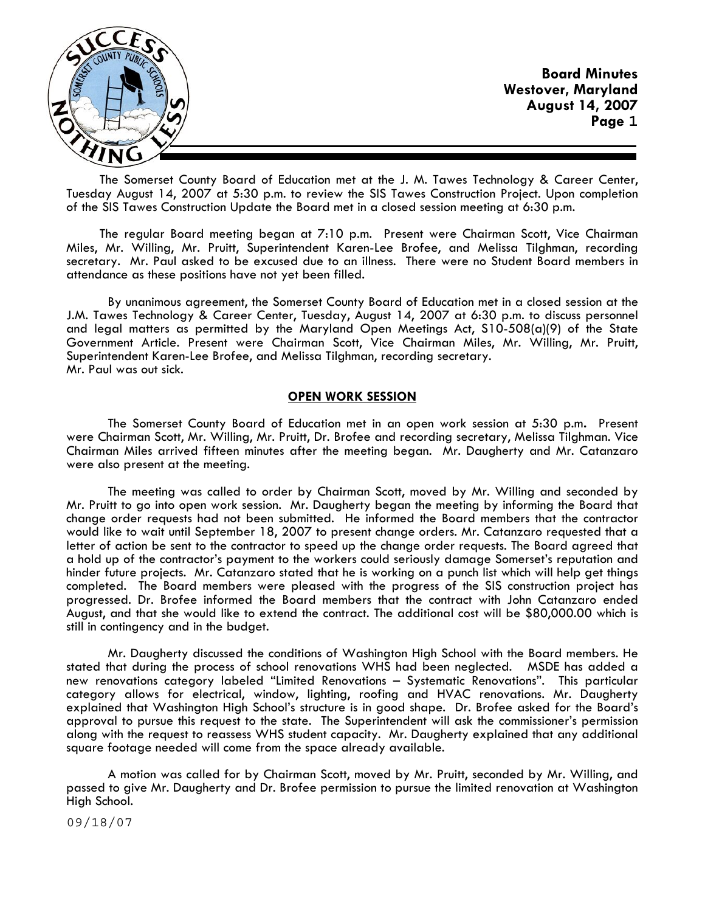

The Somerset County Board of Education met at the J. M. Tawes Technology & Career Center, Tuesday August 14, 2007 at 5:30 p.m. to review the SIS Tawes Construction Project. Upon completion of the SIS Tawes Construction Update the Board met in a closed session meeting at 6:30 p.m.

The regular Board meeting began at 7:10 p.m. Present were Chairman Scott, Vice Chairman Miles, Mr. Willing, Mr. Pruitt, Superintendent Karen-Lee Brofee, and Melissa Tilghman, recording secretary. Mr. Paul asked to be excused due to an illness. There were no Student Board members in attendance as these positions have not yet been filled.

 By unanimous agreement, the Somerset County Board of Education met in a closed session at the J.M. Tawes Technology & Career Center, Tuesday, August 14, 2007 at 6:30 p.m. to discuss personnel and legal matters as permitted by the Maryland Open Meetings Act, S10-508(a)(9) of the State Government Article. Present were Chairman Scott, Vice Chairman Miles, Mr. Willing, Mr. Pruitt, Superintendent Karen-Lee Brofee, and Melissa Tilghman, recording secretary. Mr. Paul was out sick.

### **OPEN WORK SESSION**

 The Somerset County Board of Education met in an open work session at 5:30 p.m**.** Present were Chairman Scott, Mr. Willing, Mr. Pruitt, Dr. Brofee and recording secretary, Melissa Tilghman. Vice Chairman Miles arrived fifteen minutes after the meeting began. Mr. Daugherty and Mr. Catanzaro were also present at the meeting.

 The meeting was called to order by Chairman Scott, moved by Mr. Willing and seconded by Mr. Pruitt to go into open work session. Mr. Daugherty began the meeting by informing the Board that change order requests had not been submitted. He informed the Board members that the contractor would like to wait until September 18, 2007 to present change orders. Mr. Catanzaro requested that a letter of action be sent to the contractor to speed up the change order requests. The Board agreed that a hold up of the contractor's payment to the workers could seriously damage Somerset's reputation and hinder future projects. Mr. Catanzaro stated that he is working on a punch list which will help get things completed. The Board members were pleased with the progress of the SIS construction project has progressed. Dr. Brofee informed the Board members that the contract with John Catanzaro ended August, and that she would like to extend the contract. The additional cost will be \$80,000.00 which is still in contingency and in the budget.

 Mr. Daugherty discussed the conditions of Washington High School with the Board members. He stated that during the process of school renovations WHS had been neglected. MSDE has added a new renovations category labeled "Limited Renovations – Systematic Renovations". This particular category allows for electrical, window, lighting, roofing and HVAC renovations. Mr. Daugherty explained that Washington High School's structure is in good shape. Dr. Brofee asked for the Board's approval to pursue this request to the state. The Superintendent will ask the commissioner's permission along with the request to reassess WHS student capacity. Mr. Daugherty explained that any additional square footage needed will come from the space already available.

 A motion was called for by Chairman Scott, moved by Mr. Pruitt, seconded by Mr. Willing, and passed to give Mr. Daugherty and Dr. Brofee permission to pursue the limited renovation at Washington High School.

09/18/07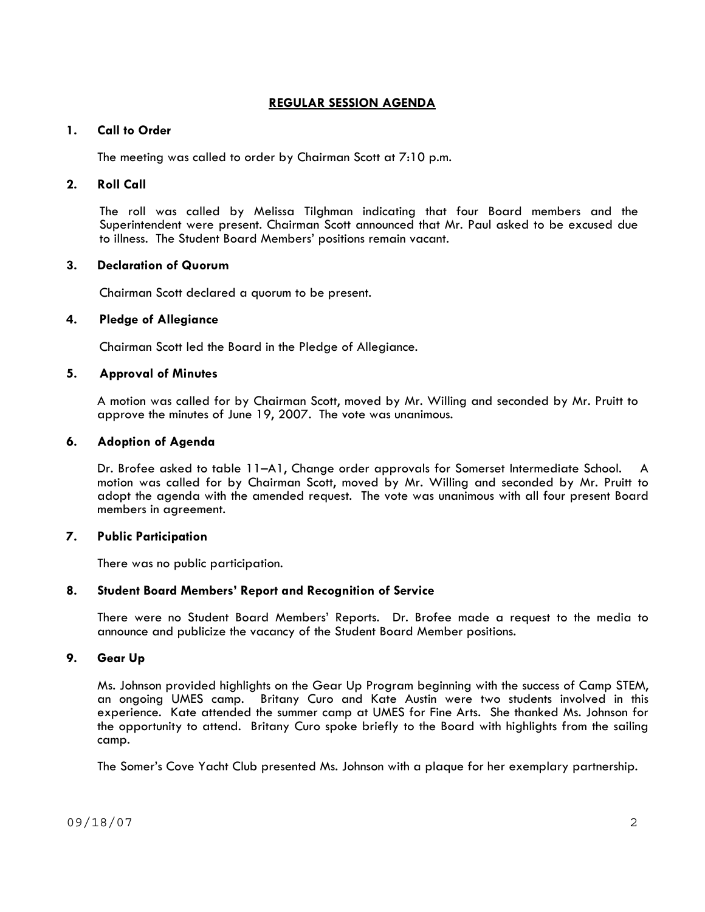# **REGULAR SESSION AGENDA**

# **1. Call to Order**

The meeting was called to order by Chairman Scott at 7:10 p.m.

# **2. Roll Call**

The roll was called by Melissa Tilghman indicating that four Board members and the Superintendent were present. Chairman Scott announced that Mr. Paul asked to be excused due to illness. The Student Board Members' positions remain vacant.

## **3. Declaration of Quorum**

Chairman Scott declared a quorum to be present.

## **4. Pledge of Allegiance**

Chairman Scott led the Board in the Pledge of Allegiance.

## **5. Approval of Minutes**

 A motion was called for by Chairman Scott, moved by Mr. Willing and seconded by Mr. Pruitt to approve the minutes of June 19, 2007. The vote was unanimous.

## **6. Adoption of Agenda**

 Dr. Brofee asked to table 11–A1, Change order approvals for Somerset Intermediate School. A motion was called for by Chairman Scott, moved by Mr. Willing and seconded by Mr. Pruitt to adopt the agenda with the amended request. The vote was unanimous with all four present Board members in agreement.

## **7. Public Participation**

There was no public participation.

## **8. Student Board Members' Report and Recognition of Service**

There were no Student Board Members' Reports. Dr. Brofee made a request to the media to announce and publicize the vacancy of the Student Board Member positions.

# **9. Gear Up**

Ms. Johnson provided highlights on the Gear Up Program beginning with the success of Camp STEM, an ongoing UMES camp. Britany Curo and Kate Austin were two students involved in this experience. Kate attended the summer camp at UMES for Fine Arts. She thanked Ms. Johnson for the opportunity to attend. Britany Curo spoke briefly to the Board with highlights from the sailing camp.

The Somer's Cove Yacht Club presented Ms. Johnson with a plaque for her exemplary partnership.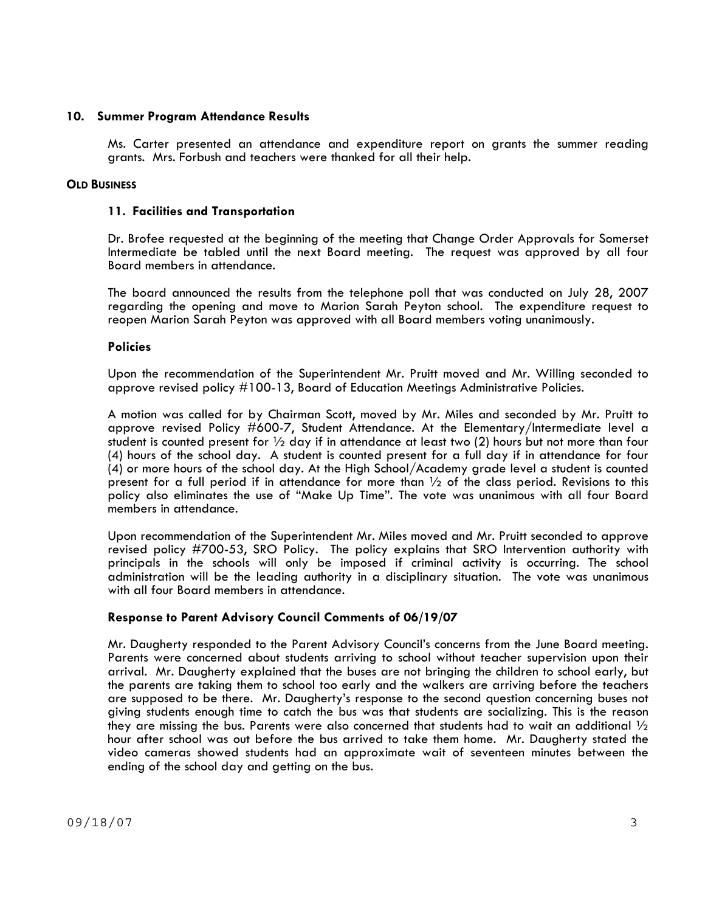### **10. Summer Program Attendance Results**

Ms. Carter presented an attendance and expenditure report on grants the summer reading grants. Mrs. Forbush and teachers were thanked for all their help.

### **OLD BUSINESS**

### **11. Facilities and Transportation**

Dr. Brofee requested at the beginning of the meeting that Change Order Approvals for Somerset Intermediate be tabled until the next Board meeting. The request was approved by all four Board members in attendance.

The board announced the results from the telephone poll that was conducted on July 28, 2007 regarding the opening and move to Marion Sarah Peyton school. The expenditure request to reopen Marion Sarah Peyton was approved with all Board members voting unanimously.

#### **Policies**

Upon the recommendation of the Superintendent Mr. Pruitt moved and Mr. Willing seconded to approve revised policy #100-13, Board of Education Meetings Administrative Policies.

A motion was called for by Chairman Scott, moved by Mr. Miles and seconded by Mr. Pruitt to approve revised Policy #600-7, Student Attendance. At the Elementary/Intermediate level a student is counted present for ½ day if in attendance at least two (2) hours but not more than four (4) hours of the school day. A student is counted present for a full day if in attendance for four (4) or more hours of the school day. At the High School/Academy grade level a student is counted present for a full period if in attendance for more than  $\frac{1}{2}$  of the class period. Revisions to this policy also eliminates the use of "Make Up Time". The vote was unanimous with all four Board members in attendance.

 Upon recommendation of the Superintendent Mr. Miles moved and Mr. Pruitt seconded to approve revised policy #700-53, SRO Policy. The policy explains that SRO Intervention authority with principals in the schools will only be imposed if criminal activity is occurring. The school administration will be the leading authority in a disciplinary situation. The vote was unanimous with all four Board members in attendance.

## **Response to Parent Advisory Council Comments of 06/19/07**

Mr. Daugherty responded to the Parent Advisory Council's concerns from the June Board meeting. Parents were concerned about students arriving to school without teacher supervision upon their arrival. Mr. Daugherty explained that the buses are not bringing the children to school early, but the parents are taking them to school too early and the walkers are arriving before the teachers are supposed to be there. Mr. Daugherty's response to the second question concerning buses not giving students enough time to catch the bus was that students are socializing. This is the reason they are missing the bus. Parents were also concerned that students had to wait an additional  $\frac{1}{2}$ hour after school was out before the bus arrived to take them home. Mr. Daugherty stated the video cameras showed students had an approximate wait of seventeen minutes between the ending of the school day and getting on the bus.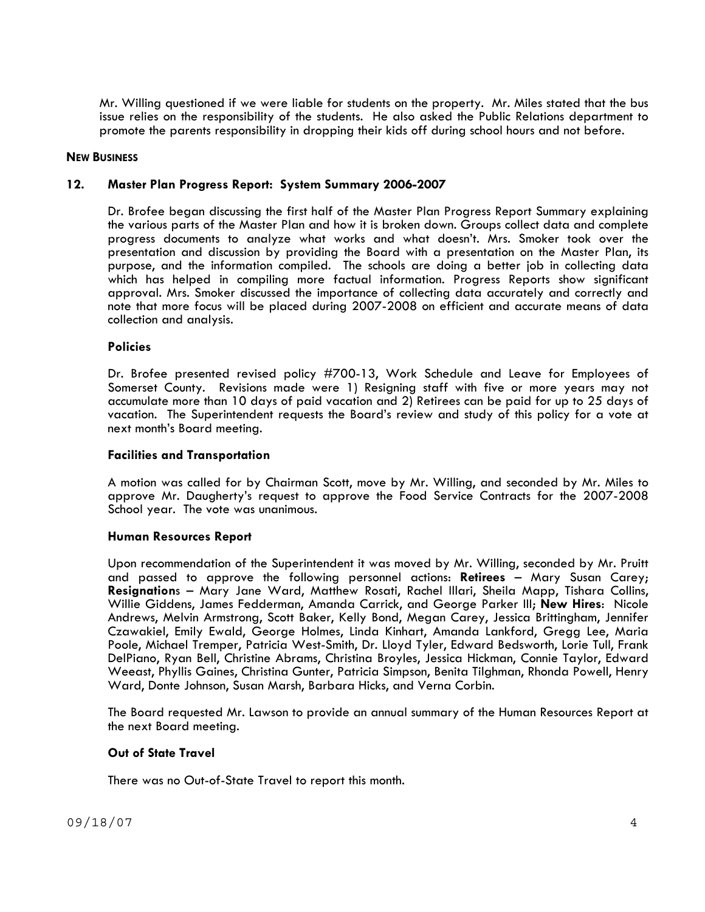Mr. Willing questioned if we were liable for students on the property. Mr. Miles stated that the bus issue relies on the responsibility of the students. He also asked the Public Relations department to promote the parents responsibility in dropping their kids off during school hours and not before.

#### **NEW BUSINESS**

### **12. Master Plan Progress Report: System Summary 2006-2007**

Dr. Brofee began discussing the first half of the Master Plan Progress Report Summary explaining the various parts of the Master Plan and how it is broken down. Groups collect data and complete progress documents to analyze what works and what doesn't. Mrs. Smoker took over the presentation and discussion by providing the Board with a presentation on the Master Plan, its purpose, and the information compiled. The schools are doing a better job in collecting data which has helped in compiling more factual information. Progress Reports show significant approval. Mrs. Smoker discussed the importance of collecting data accurately and correctly and note that more focus will be placed during 2007-2008 on efficient and accurate means of data collection and analysis.

#### **Policies**

Dr. Brofee presented revised policy #700-13, Work Schedule and Leave for Employees of Somerset County. Revisions made were 1) Resigning staff with five or more years may not accumulate more than 10 days of paid vacation and 2) Retirees can be paid for up to 25 days of vacation. The Superintendent requests the Board's review and study of this policy for a vote at next month's Board meeting.

#### **Facilities and Transportation**

A motion was called for by Chairman Scott, move by Mr. Willing, and seconded by Mr. Miles to approve Mr. Daugherty's request to approve the Food Service Contracts for the 2007-2008 School year. The vote was unanimous.

#### **Human Resources Report**

Upon recommendation of the Superintendent it was moved by Mr. Willing, seconded by Mr. Pruitt and passed to approve the following personnel actions: **Retirees** – Mary Susan Carey; **Resignation**s – Mary Jane Ward, Matthew Rosati, Rachel Illari, Sheila Mapp, Tishara Collins, Willie Giddens, James Fedderman, Amanda Carrick, and George Parker III; **New Hires**: Nicole Andrews, Melvin Armstrong, Scott Baker, Kelly Bond, Megan Carey, Jessica Brittingham, Jennifer Czawakiel, Emily Ewald, George Holmes, Linda Kinhart, Amanda Lankford, Gregg Lee, Maria Poole, Michael Tremper, Patricia West-Smith, Dr. Lloyd Tyler, Edward Bedsworth, Lorie Tull, Frank DelPiano, Ryan Bell, Christine Abrams, Christina Broyles, Jessica Hickman, Connie Taylor, Edward Weeast, Phyllis Gaines, Christina Gunter, Patricia Simpson, Benita Tilghman, Rhonda Powell, Henry Ward, Donte Johnson, Susan Marsh, Barbara Hicks, and Verna Corbin.

The Board requested Mr. Lawson to provide an annual summary of the Human Resources Report at the next Board meeting.

#### **Out of State Travel**

There was no Out-of-State Travel to report this month.